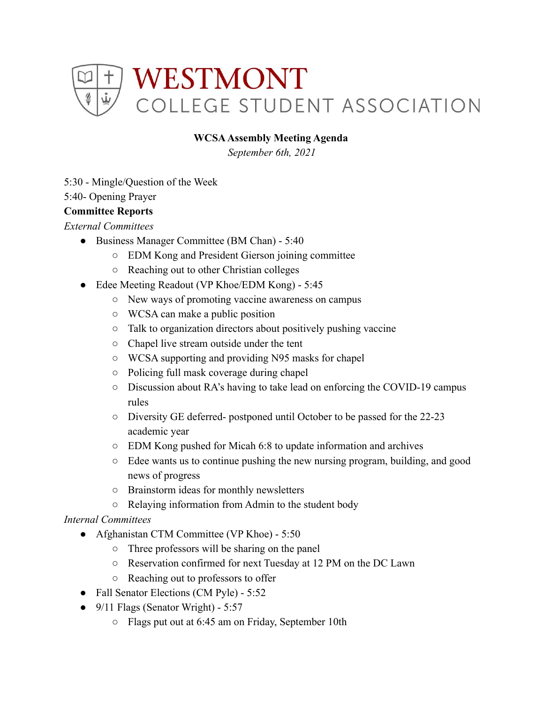

#### **WCSAAssembly Meeting Agenda**

*September 6th, 2021*

5:30 - Mingle/Question of the Week

5:40- Opening Prayer

#### **Committee Reports**

*External Committees*

- Business Manager Committee (BM Chan) 5:40
	- EDM Kong and President Gierson joining committee
	- Reaching out to other Christian colleges
- Edee Meeting Readout (VP Khoe/EDM Kong) 5:45
	- New ways of promoting vaccine awareness on campus
	- WCSA can make a public position
	- Talk to organization directors about positively pushing vaccine
	- Chapel live stream outside under the tent
	- WCSA supporting and providing N95 masks for chapel
	- Policing full mask coverage during chapel
	- Discussion about RA's having to take lead on enforcing the COVID-19 campus rules
	- Diversity GE deferred- postponed until October to be passed for the 22-23 academic year
	- EDM Kong pushed for Micah 6:8 to update information and archives
	- Edee wants us to continue pushing the new nursing program, building, and good news of progress
	- Brainstorm ideas for monthly newsletters
	- Relaying information from Admin to the student body

#### *Internal Committees*

- Afghanistan CTM Committee (VP Khoe) 5:50
	- Three professors will be sharing on the panel
	- Reservation confirmed for next Tuesday at 12 PM on the DC Lawn
	- Reaching out to professors to offer
- Fall Senator Elections (CM Pyle) 5:52
- $\bullet$  9/11 Flags (Senator Wright) 5:57
	- Flags put out at 6:45 am on Friday, September 10th